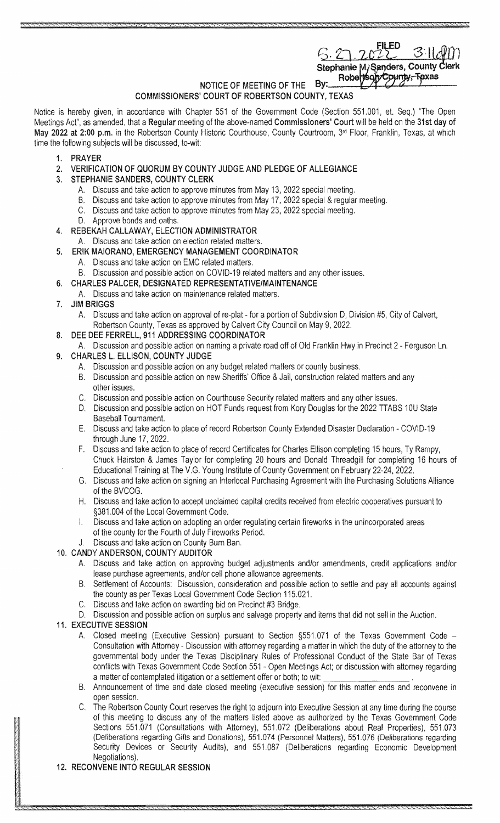$5.27.2028$ Stephanie M, Sanders, County C Robertsory County, Texas

#### NOTICE OF MEETING OF THE By: COMMISSIONERS' COURT OF ROBERTSON COUNTY, TEXAS

Notice is hereby given, in accordance with Chapter 551 of the Government Code (Section 551,001, et. Seq.) "The Open Meetings Act", as amended, that a Regular meeting of the above-named Commissioners' Court will be held on the 31st day of May 2022 at 2:00 p.m. in the Robertson County Historic Courthouse, County Courtroom, 3rd Floor, Franklin, Texas, at which time the following subjects will be discussed, to-wit:

- 1. PRAYER
- 2. VERIFICATION OF QUORUM BY COUNTY JUDGE AND PLEDGE OF ALLEGIANCE
- 3. STEPHANIE SANDERS, COUNTY CLERK
	- A. Discuss and take action to approve minutes from May 13, 2022 special meeting.
	- B. Discuss and take action to approve minutes from May 17, 2022 special & regular meeting.
	- Discuss and take action to approve minutes from May 23, 2022 special meeting. C.
	- D. Approve bonds and oaths.
- 4. REBEKAH CALLAWAY, ELECTION ADMINISTRATOR
	- A. Discuss and take action on election related matters.
- 5. ERIK MAIORANO, EMERGENCY MANAGEMENT COORDINATOR
	- A. Discuss and take action on EMC related matters.
	- B. Discussion and possible action on COVID-19 related matters and any other issues.

#### 6. CHARLES PALCER, DESIGNATED REPRESENTATIVE/MAINTENANCE

- A. Discuss and take action on maintenance related matters.
- 7. JIM BRIGGS
	- A. Discuss and take action on approval of re-plat for a portion of Subdivision D, Division #5, City of Calvert, Robertson County, Texas as approved by Calvert City Council on May 9, 2022.
- 8. DEE DEE FERRELL, 911 ADDRESSING COORDINATOR
- A. Discussion and possible action on naming a private road off of Old Franklin Hwy in Precinct 2 Ferguson Ln.
- 9. CHARLES L. ELLISON, COUNTY JUDGE
	- A. Discussion and possible action on any budget related matters or county business.
	- B. Discussion and possible action on new Sheriffs' Office & Jail, construction related matters and any other issues.
	- C. Discussion and possible action on Courthouse Security related matters and any other issues.
	- D. Discussion and possible action on HOT Funds request from Kory Douglas for the 2022 TTABS 10U State Baseball Tournament.
	- E. Discuss and take action to place of record Robertson County Extended Disaster Declaration COVID-19 through June 17, 2022.
	- F. Discuss and take action to place of record Certificates for Charles Ellison completing 15 hours, Ty Rampy, Chuck Hairston & James Taylor for completing 20 hours and Donald Threadgill for completing 16 hours of Educational Training at The V.G. Young Institute of County Government on February 22-24, 2022.
	- G. Discuss and take action on signing an Interlocal Purchasing Agreement with the Purchasing Solutions Alliance of the BVCOG.
	- H. Discuss and take action to accept unclaimed capital credits received from electric cooperatives pursuant to §381.004 of the Local Government Code.
	- I. Discuss and take action on adopting an order regulating certain fireworks in the unincorporated areas of the county for the Fourth of July Fireworks Period.
	- J. Discuss and take action on County Burn Ban.

### 10. CANDY ANDERSON, COUNTY AUDITOR

- A. Discuss and take action on approving budget adjustments and/or amendments, credit applications and/or lease purchase agreements, and/or cell phone allowance agreements.
- B. Settlement of Accounts: Discussion, consideration and possible action to settle and pay all accounts against the county as per Texas Local Government Code Section 115.021.
- C. Discuss and take action on awarding bid on Precinct #3 Bridge.
- D. Discussion and possible action on surplus and salvage property and items that did not sell in the Auction.

### 11. EXECUTIVE SESSION

- A. Closed meeting (Executive Session) pursuant to Section §551.071 of the Texas Government Code -Consultation with Attorney - Discussion with attorney regarding a matter in which duty of the attorney to the governmental body under the Texas Disciplinary Rules of Professional Conduct of the State Bar of Texas conflicts with Texas Government Code Section 551 - Open Meetings Act; or discussion with attorney regarding a matter of contemplated litigation or a settlement offer or both; to wit:
- B. Announcement of time and date closed meeting (executive session) for this matter ends and reconvene in open session.
- C. The Robertson County Court reserves the right to adjourn into Executive Session at any time during the course of this meeting to discuss any of the matters listed above as authorized by the Texas Government Code Sections 551.071 (Consultations with Attorney), 551.072 (Deliberations about Real Properties), 551.073 (Deliberations regarding Gifts and Donations), 551.074 (Personnel Matters), 551.076 (Deliberations regarding Security Devices or Security Audits), and 551.087 (Deliberations regarding Economic Development Negotiations).

## 12. RECONVENE INTO REGULAR SESSION